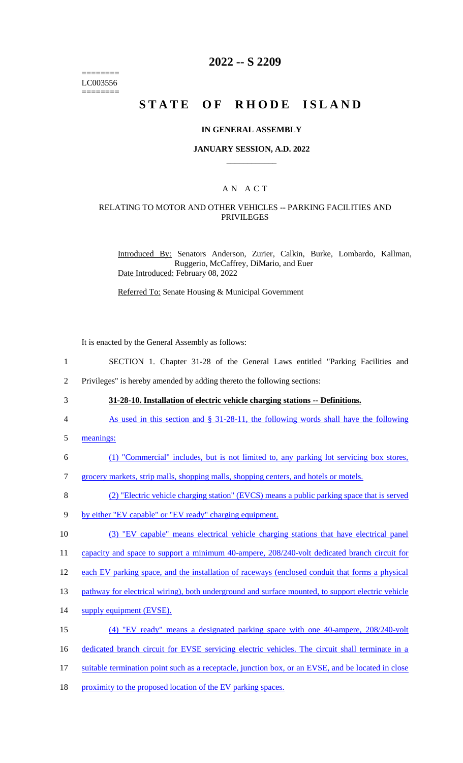======== LC003556 ========

# **2022 -- S 2209**

# **STATE OF RHODE ISLAND**

### **IN GENERAL ASSEMBLY**

### **JANUARY SESSION, A.D. 2022 \_\_\_\_\_\_\_\_\_\_\_\_**

## A N A C T

### RELATING TO MOTOR AND OTHER VEHICLES -- PARKING FACILITIES AND PRIVILEGES

Introduced By: Senators Anderson, Zurier, Calkin, Burke, Lombardo, Kallman, Ruggerio, McCaffrey, DiMario, and Euer Date Introduced: February 08, 2022

Referred To: Senate Housing & Municipal Government

It is enacted by the General Assembly as follows:

- 1 SECTION 1. Chapter 31-28 of the General Laws entitled "Parking Facilities and
- 2 Privileges" is hereby amended by adding thereto the following sections:
- 

3 **31-28-10. Installation of electric vehicle charging stations -- Definitions.** 

- 4 As used in this section and § 31-28-11, the following words shall have the following
- 5 meanings:
- 6 (1) "Commercial" includes, but is not limited to, any parking lot servicing box stores,
- 7 grocery markets, strip malls, shopping malls, shopping centers, and hotels or motels.
- 8 (2) "Electric vehicle charging station" (EVCS) means a public parking space that is served
- 9 by either "EV capable" or "EV ready" charging equipment.
- 10 (3) "EV capable" means electrical vehicle charging stations that have electrical panel

11 capacity and space to support a minimum 40-ampere, 208/240-volt dedicated branch circuit for

- 12 each EV parking space, and the installation of raceways (enclosed conduit that forms a physical
- 13 pathway for electrical wiring), both underground and surface mounted, to support electric vehicle
- 14 supply equipment (EVSE).
- 15 (4) "EV ready" means a designated parking space with one 40-ampere, 208/240-volt
- 16 dedicated branch circuit for EVSE servicing electric vehicles. The circuit shall terminate in a
- 17 suitable termination point such as a receptacle, junction box, or an EVSE, and be located in close
- 18 proximity to the proposed location of the EV parking spaces.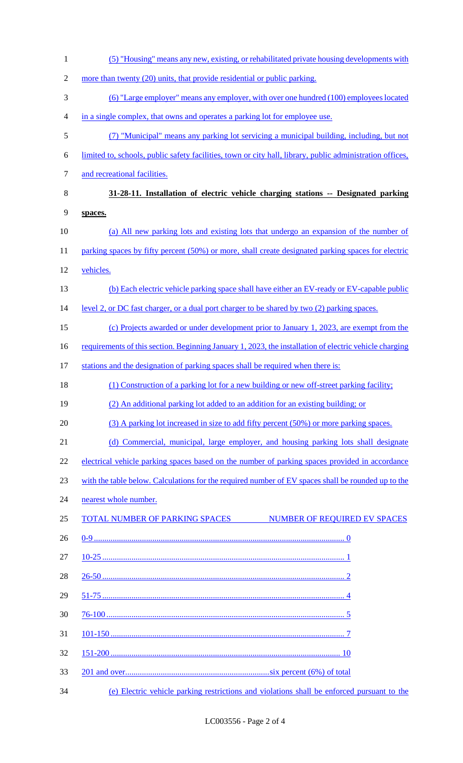| $\mathbf{1}$     | (5) "Housing" means any new, existing, or rehabilitated private housing developments with                 |
|------------------|-----------------------------------------------------------------------------------------------------------|
| $\mathbf{2}$     | more than twenty (20) units, that provide residential or public parking.                                  |
| 3                | (6) "Large employer" means any employer, with over one hundred (100) employees located                    |
| 4                | in a single complex, that owns and operates a parking lot for employee use.                               |
| 5                | (7) "Municipal" means any parking lot servicing a municipal building, including, but not                  |
| 6                | limited to, schools, public safety facilities, town or city hall, library, public administration offices, |
| $\boldsymbol{7}$ | and recreational facilities.                                                                              |
| $8\,$            | 31-28-11. Installation of electric vehicle charging stations -- Designated parking                        |
| 9                | spaces.                                                                                                   |
| 10               | (a) All new parking lots and existing lots that undergo an expansion of the number of                     |
| 11               | parking spaces by fifty percent (50%) or more, shall create designated parking spaces for electric        |
| 12               | vehicles.                                                                                                 |
| 13               | (b) Each electric vehicle parking space shall have either an EV-ready or EV-capable public                |
| 14               | level 2, or DC fast charger, or a dual port charger to be shared by two (2) parking spaces.               |
| 15               | (c) Projects awarded or under development prior to January 1, 2023, are exempt from the                   |
| 16               | requirements of this section. Beginning January 1, 2023, the installation of electric vehicle charging    |
| 17               | stations and the designation of parking spaces shall be required when there is:                           |
| 18               | (1) Construction of a parking lot for a new building or new off-street parking facility;                  |
| 19               | (2) An additional parking lot added to an addition for an existing building; or                           |
| 20               | (3) A parking lot increased in size to add fifty percent (50%) or more parking spaces.                    |
| 21               | (d) Commercial, municipal, large employer, and housing parking lots shall designate                       |
| 22               | electrical vehicle parking spaces based on the number of parking spaces provided in accordance            |
| 23               | with the table below. Calculations for the required number of EV spaces shall be rounded up to the        |
| 24               | nearest whole number.                                                                                     |
| 25               | TOTAL NUMBER OF PARKING SPACES<br>NUMBER OF REQUIRED EV SPACES                                            |
| 26               |                                                                                                           |
| 27               |                                                                                                           |
| 28               |                                                                                                           |
| 29               |                                                                                                           |
| 30               |                                                                                                           |
| 31               |                                                                                                           |
| 32               |                                                                                                           |
| 33               |                                                                                                           |
| 34               | (e) Electric vehicle parking restrictions and violations shall be enforced pursuant to the                |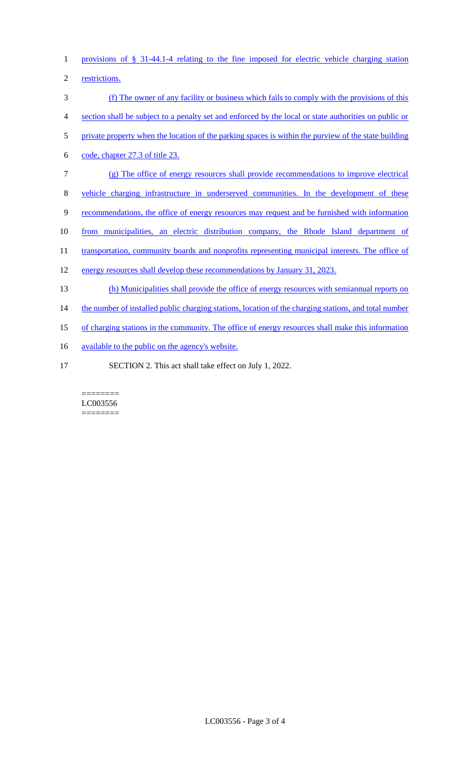1 provisions of § 31-44.1-4 relating to the fine imposed for electric vehicle charging station

2 restrictions.

 (f) The owner of any facility or business which fails to comply with the provisions of this section shall be subject to a penalty set and enforced by the local or state authorities on public or 5 private property when the location of the parking spaces is within the purview of the state building code, chapter 27.3 of title 23. (g) The office of energy resources shall provide recommendations to improve electrical

8 vehicle charging infrastructure in underserved communities. In the development of these

9 recommendations, the office of energy resources may request and be furnished with information

10 from municipalities, an electric distribution company, the Rhode Island department of

11 transportation, community boards and nonprofits representing municipal interests. The office of

- 12 energy resources shall develop these recommendations by January 31, 2023.
- 13 (h) Municipalities shall provide the office of energy resources with semiannual reports on

14 the number of installed public charging stations, location of the charging stations, and total number

- 15 of charging stations in the community. The office of energy resources shall make this information
- 16 available to the public on the agency's website.
- 17 SECTION 2. This act shall take effect on July 1, 2022.

#### ======== LC003556 ========